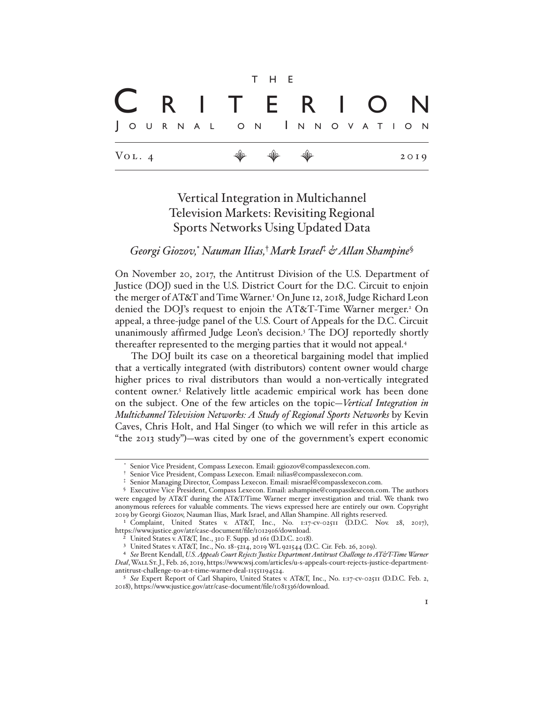|                       |  |  |                                                                      | T H E |  |  |  |  |      |  |
|-----------------------|--|--|----------------------------------------------------------------------|-------|--|--|--|--|------|--|
| C R I T E R I O N     |  |  |                                                                      |       |  |  |  |  |      |  |
| JOURNAL ON INNOVATION |  |  |                                                                      |       |  |  |  |  |      |  |
| $V_{OL.4}$            |  |  | $\begin{array}{ccccccccccccc} \psi & \psi & \psi & \psi \end{array}$ |       |  |  |  |  | 2019 |  |

# Vertical Integration in Multichannel Television Markets: Revisiting Regional Sports Networks Using Updated Data

# *Georgi Giozov,*\* *Nauman Ilias,*† *Mark Israel*‡  *& Allan Shampine*§

On November 20, 2017, the Antitrust Division of the U.S. Department of Justice (DOJ) sued in the U.S. District Court for the D.C. Circuit to enjoin the merger of AT&T and Time Warner.1 On June 12, 2018, Judge Richard Leon denied the DOJ's request to enjoin the AT&T-Time Warner merger.<sup>2</sup> On appeal, a three-judge panel of the U.S. Court of Appeals for the D.C. Circuit unanimously affirmed Judge Leon's decision.<sup>3</sup> The DOJ reportedly shortly thereafter represented to the merging parties that it would not appeal.4

The DOJ built its case on a theoretical bargaining model that implied that a vertically integrated (with distributors) content owner would charge higher prices to rival distributors than would a non-vertically integrated content owner.<sup>5</sup> Relatively little academic empirical work has been done on the subject. One of the few articles on the topic—*Vertical Integration in Multichannel Television Networks: A Study of Regional Sports Networks* by Kevin Caves, Chris Holt, and Hal Singer (to which we will refer in this article as "the 2013 study")—was cited by one of the government's expert economic

Senior Vice President, Compass Lexecon. Email: ggiozov@compasslexecon.com.

<sup>†</sup> Senior Vice President, Compass Lexecon. Email: nilias@compasslexecon.com.

<sup>‡</sup> Senior Managing Director, Compass Lexecon. Email: misrael@compasslexecon.com.

<sup>§</sup> Executive Vice President, Compass Lexecon. Email: ashampine@compasslexecon.com. The authors were engaged by AT&T during the AT&T/Time Warner merger investigation and trial. We thank two anonymous referees for valuable comments. The views expressed here are entirely our own. Copyright 2019 by Georgi Giozov, Nauman Ilias, Mark Israel, and Allan Shampine. All rights reserved.

<sup>1</sup> Complaint, United States v. AT&T, Inc., No. 1:17-cv-02511 (D.D.C. Nov. 28, 2017), https://www.justice.gov/atr/case-document/file/1012916/download.

United States v. AT&T, Inc., 310 F. Supp. 3d 161 (D.D.C. 2018).

<sup>3</sup> United States v. AT&T, Inc., No. 18-5214, 2019 WL 921544 (D.C. Cir. Feb. 26, 2019).

<sup>4</sup> *See* Brent Kendall, *U.S. Appeals Court Rejects Justice Department Antitrust Challenge to AT&T-Time Warner Deal*, Wall St. J., Feb. 26, 2019, https://www.wsj.com/articles/u-s-appeals-court-rejects-justice-departmentantitrust-challenge-to-at-t-time-warner-deal-11551194524.

<sup>5</sup> *See* Expert Report of Carl Shapiro, United States v. AT&T, Inc., No. 1:17-cv-02511 (D.D.C. Feb. 2, 2018), https://www.justice.gov/atr/case-document/file/1081336/download.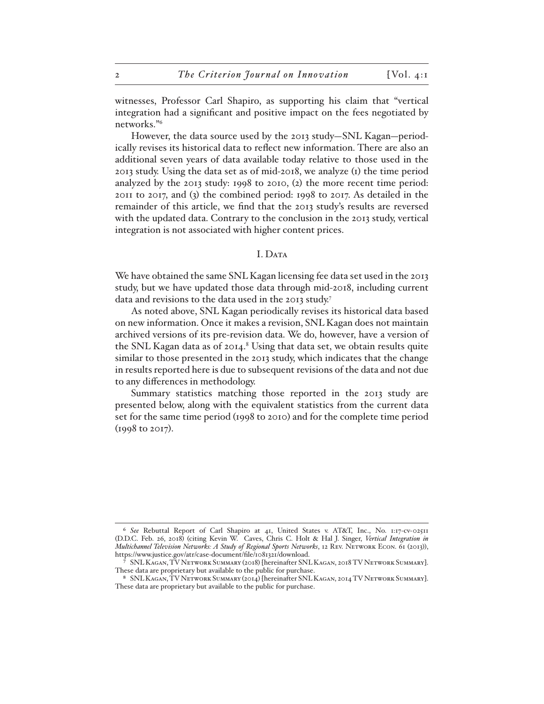witnesses, Professor Carl Shapiro, as supporting his claim that "vertical integration had a significant and positive impact on the fees negotiated by networks."6

However, the data source used by the 2013 study—SNL Kagan—periodically revises its historical data to reflect new information. There are also an additional seven years of data available today relative to those used in the 2013 study. Using the data set as of mid-2018, we analyze (1) the time period analyzed by the 2013 study: 1998 to 2010, (2) the more recent time period: 2011 to 2017, and (3) the combined period: 1998 to 2017. As detailed in the remainder of this article, we find that the 2013 study's results are reversed with the updated data. Contrary to the conclusion in the 2013 study, vertical integration is not associated with higher content prices.

# I. DATA

We have obtained the same SNL Kagan licensing fee data set used in the 2013 study, but we have updated those data through mid-2018, including current data and revisions to the data used in the 2013 study.7

As noted above, SNL Kagan periodically revises its historical data based on new information. Once it makes a revision, SNL Kagan does not maintain archived versions of its pre-revision data. We do, however, have a version of the SNL Kagan data as of 2014.<sup>8</sup> Using that data set, we obtain results quite similar to those presented in the 2013 study, which indicates that the change in results reported here is due to subsequent revisions of the data and not due to any differences in methodology.

Summary statistics matching those reported in the 2013 study are presented below, along with the equivalent statistics from the current data set for the same time period (1998 to 2010) and for the complete time period (1998 to 2017).

<sup>6</sup> *See* Rebuttal Report of Carl Shapiro at 41, United States v. AT&T, Inc., No. 1:17-cv-02511 (D.D.C. Feb. 26, 2018) (citing Kevin W. Caves, Chris C. Holt & Hal J. Singer, *Vertical Integration in Multichannel Television Networks: A Study of Regional Sports Networks*, 12 Rev. Network Econ. 61 (2013)), https://www.justice.gov/atr/case-document/file/1081321/download.

<sup>7</sup> SNL Kagan, TV Network Summary (2018) [hereinafter SNL Kagan, 2018 TV Network Summary]. These data are proprietary but available to the public for purchase.

<sup>8</sup> SNL Kagan, TV Network Summary (2014) [hereinafter SNL Kagan, 2014 TV Network Summary]. These data are proprietary but available to the public for purchase.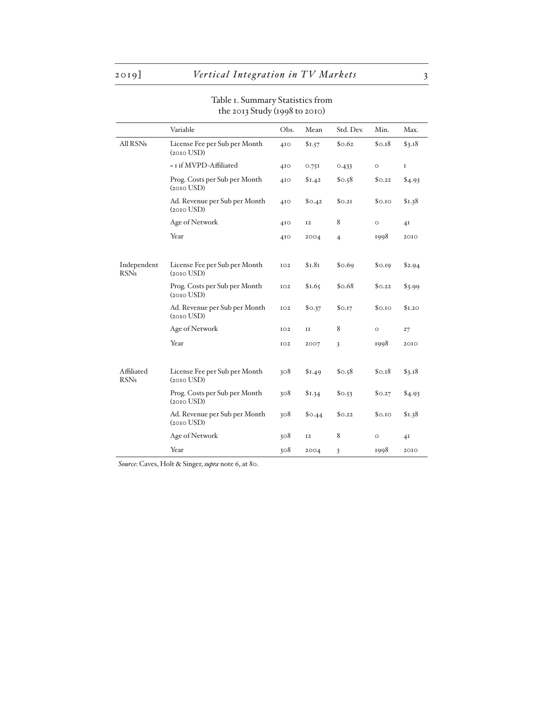#### Variable Obs. Mean Std. Dev. Min. Max. All RSNs License Fee per Sub per Month (2010 USD) 410 \$1.57 \$0.62 \$0.18 \$3.18  $=$  1 if MVPD-Affiliated 410 0.751 0.433 0 1 Prog. Costs per Sub per Month (2010 USD) 410 \$1.42 \$0.58 \$0.22 \$4.93 Ad. Revenue per Sub per Month (2010 USD) 410 \$0.42 \$0.21 \$0.10 \$1.38 Age of Network 410 12 8 0 41 Year 1998 2010 Independent RSNs License Fee per Sub per Month (2010 USD) 102 \$1.81 \$0.69 \$0.19 \$2.94 Prog. Costs per Sub per Month (2010 USD) 102 \$1.65 \$0.68 \$0.22 \$3.99 Ad. Revenue per Sub per Month (2010 USD) 102 \$0.37 \$0.17 \$0.10 \$1.20 Age of Network 102 11 8 0 27 Year 102 2007 3 1998 2010 Affiliated RSNs License Fee per Sub per Month (2010 USD) 308 \$1.49 \$0.58 \$0.18 \$3.18 Prog. Costs per Sub per Month (2010 USD) 308 \$1.34 \$0.53 \$0.27 \$4.93 Ad. Revenue per Sub per Month (2010 USD) 308 \$0.44 \$0.22 \$0.10 \$1.38 Age of Network 308 12 8 0 41

Year 308 2004 3 1998 2010

# Table 1. Summary Statistics from the 2013 Study (1998 to 2010)

*Source*: Caves, Holt & Singer, *supra* note 6, at 80.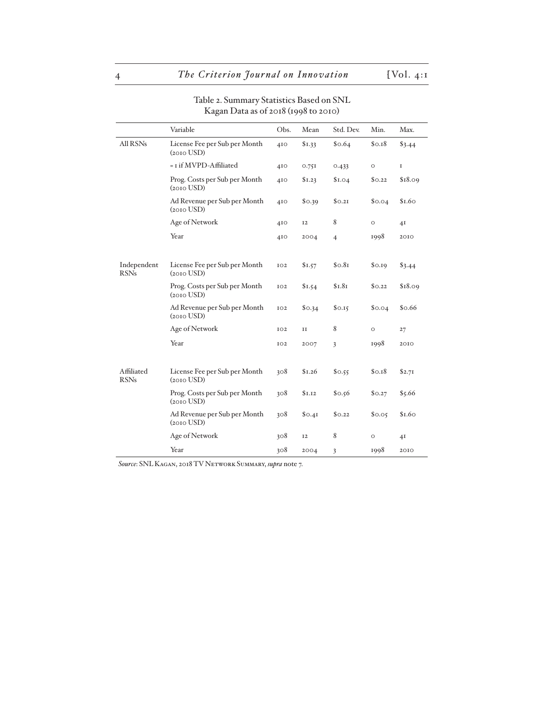|                            | Variable                                         | Obs.            | Mean      | Std. Dev.      | Min.    | Max.           |
|----------------------------|--------------------------------------------------|-----------------|-----------|----------------|---------|----------------|
| All RSNs                   | License Fee per Sub per Month<br>$(2010$ USD $)$ | 410             | \$1.33    | \$0.64         | \$0.18  | \$3.44         |
|                            | = I if MVPD-Affiliated                           | 4I <sub>O</sub> | 0.751     | 0.433          | $\circ$ | 1              |
|                            | Prog. Costs per Sub per Month<br>$(2010$ USD $)$ | 410             | \$1.23    | \$I.04         | \$0.22  | \$18.09        |
|                            | Ad Revenue per Sub per Month<br>$(2010$ USD $)$  | 410             | \$0.39    | \$0.21         | \$0.04  | \$1.60         |
|                            | Age of Network                                   | 410             | <b>I2</b> | 8              | $\circ$ | 4 <sub>I</sub> |
|                            | Year                                             | 4I <sub>O</sub> | 2004      | $\overline{4}$ | 1998    | 2010           |
|                            |                                                  |                 |           |                |         |                |
| Independent<br><b>RSNs</b> | License Fee per Sub per Month<br>$(2010$ USD $)$ | IO2             | \$1.57    | \$0.81         | \$0.19  | \$3.44         |
|                            | Prog. Costs per Sub per Month<br>$(2010$ USD $)$ | IO2             | \$1.54    | \$I.8I         | \$0.22  | \$18.09        |
|                            | Ad Revenue per Sub per Month<br>$(2010$ USD $)$  | IO2             | \$0.34    | \$0.15         | \$0.04  | \$0.66         |
|                            | Age of Network                                   | IO2             | II        | 8              | $\circ$ | 27             |
|                            | Year                                             | IO <sub>2</sub> | 2007      | $\overline{3}$ | 1998    | 2010           |
|                            |                                                  |                 |           |                |         |                |
| Affiliated<br><b>RSNs</b>  | License Fee per Sub per Month<br>$(2010$ USD $)$ | 308             | \$1.26    | \$0.55         | \$0.18  | \$2.71         |
|                            | Prog. Costs per Sub per Month<br>$(2010$ USD $)$ | 308             | \$1.12    | \$0.56         | \$0.27  | \$5.66         |
|                            | Ad Revenue per Sub per Month<br>$(2010$ USD $)$  | 308             | \$0.4I    | \$0.22         | \$0.05  | \$1.60         |
|                            | Age of Network                                   | 308             | <b>I2</b> | 8              | $\circ$ | 4 <sub>I</sub> |
|                            | Year                                             | 308             | 2004      | 3              | 1998    | 2010           |

# Table 2. Summary Statistics Based on SNL Kagan Data as of 2018 (1998 to 2010)

*Source*: SNL Kagan, 2018 TV Network Summary, *supra* note 7.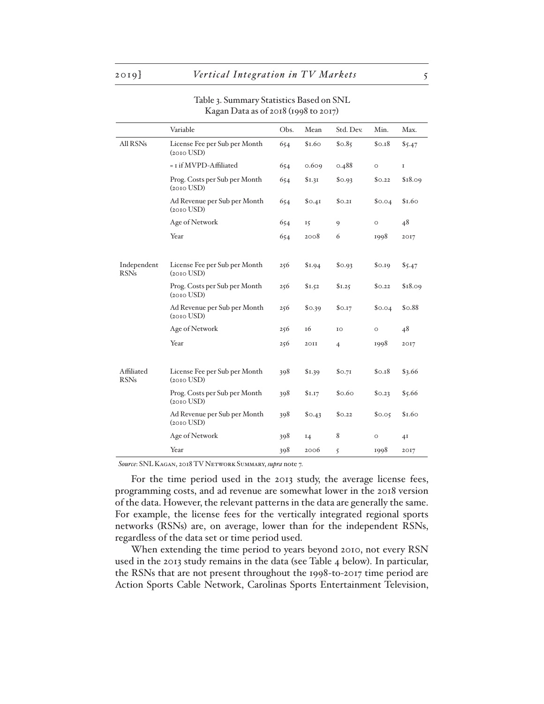|                            | Variable                                         | Obs. | Mean   | Std. Dev.      | Min.    | Max.        |
|----------------------------|--------------------------------------------------|------|--------|----------------|---------|-------------|
| All RSNs                   | License Fee per Sub per Month<br>$(2010$ USD $)$ | 654  | \$1.60 | \$0.85         | \$0.18  | \$5.47      |
|                            | = I if MVPD-Affiliated                           | 654  | 0.609  | 0.488          | $\circ$ | $\mathbf I$ |
|                            | Prog. Costs per Sub per Month<br>$(2010$ USD)    | 654  | \$I.3I | \$0.93         | \$0.22  | \$18.09     |
|                            | Ad Revenue per Sub per Month<br>$(2010$ USD $)$  | 654  | \$0.41 | \$0.21         | \$0.04  | \$1.60      |
|                            | Age of Network                                   | 654  | 15     | 9              | $\circ$ | 48          |
|                            | Year                                             | 654  | 2008   | 6              | 1998    | 2017        |
|                            |                                                  |      |        |                |         |             |
| Independent<br><b>RSNs</b> | License Fee per Sub per Month<br>$(2010$ USD $)$ | 256  | \$1.94 | \$0.93         | \$0.19  | \$5.47      |
|                            | Prog. Costs per Sub per Month<br>$(2010$ USD)    | 256  | \$1.52 | \$1.25         | \$0.22  | \$18.09     |
|                            | Ad Revenue per Sub per Month<br>$(2010$ USD $)$  | 256  | \$0.39 | \$0.17         | \$0.04  | \$0.88      |
|                            | Age of Network                                   | 256  | 16     | IO             | $\circ$ | 48          |
|                            | Year                                             | 256  | 20II   | $\overline{4}$ | 1998    | 2017        |
|                            |                                                  |      |        |                |         |             |
| Affiliated<br><b>RSNs</b>  | License Fee per Sub per Month<br>$(2010$ USD $)$ | 398  | \$1.39 | \$o.71         | \$0.18  | \$3.66      |
|                            | Prog. Costs per Sub per Month<br>$(2010$ USD $)$ | 398  | \$I.I7 | \$0.60         | \$0.23  | \$5.66      |
|                            | Ad Revenue per Sub per Month<br>$(2010$ USD $)$  | 398  | \$0.43 | \$0.22         | \$0.05  | \$1.60      |
|                            | Age of Network                                   | 398  | 14     | 8              | $\circ$ | 4I          |
|                            | Year                                             | 398  | 2006   | 5              | 1998    | 2017        |

# Table 3. Summary Statistics Based on SNL Kagan Data as of 2018 (1998 to 2017)

*Source*: SNL Kagan, 2018 TV Network Summary, *supra* note 7.

For the time period used in the 2013 study, the average license fees, programming costs, and ad revenue are somewhat lower in the 2018 version of the data. However, the relevant patterns in the data are generally the same. For example, the license fees for the vertically integrated regional sports networks (RSNs) are, on average, lower than for the independent RSNs, regardless of the data set or time period used.

When extending the time period to years beyond 2010, not every RSN used in the 2013 study remains in the data (see Table 4 below). In particular, the RSNs that are not present throughout the 1998-to-2017 time period are Action Sports Cable Network, Carolinas Sports Entertainment Television,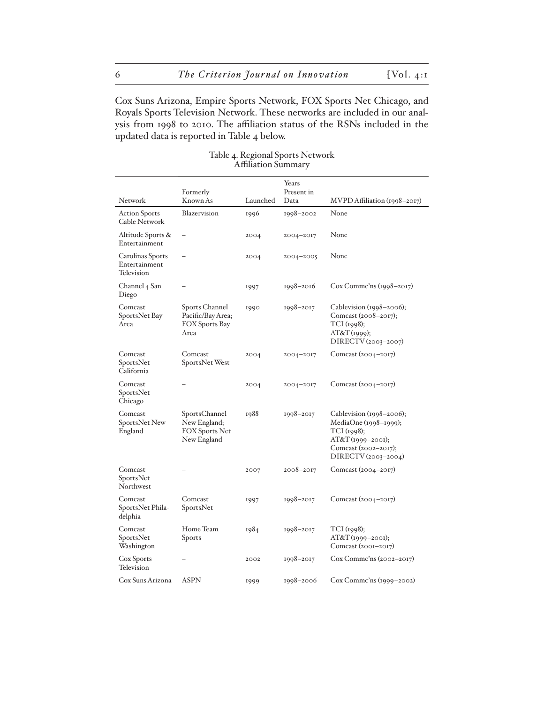Cox Suns Arizona, Empire Sports Network, FOX Sports Net Chicago, and Royals Sports Television Network. These networks are included in our analysis from 1998 to 2010. The affiliation status of the RSNs included in the updated data is reported in Table 4 below.

| Network                                         | Formerly<br>Known As                                           | Launched | Years<br>Present in<br>Data | MVPD Affiliation (1998–2017)                                                                                                             |
|-------------------------------------------------|----------------------------------------------------------------|----------|-----------------------------|------------------------------------------------------------------------------------------------------------------------------------------|
| <b>Action Sports</b><br>Cable Network           | Blazervision                                                   | 1996     | 1998-2002                   | None                                                                                                                                     |
| Altitude Sports &<br>Entertainment              | $\overline{a}$                                                 | 2004     | 2004-2017                   | None                                                                                                                                     |
| Carolinas Sports<br>Entertainment<br>Television | $\overline{\phantom{0}}$                                       | 2004     | 2004-2005                   | None                                                                                                                                     |
| Channel 4 San<br>Diego                          |                                                                | 1997     | 1998–2016                   | $Cox$ Commc'ns (1998–2017)                                                                                                               |
| Comcast<br>SportsNet Bay<br>Area                | Sports Channel<br>Pacific/Bay Area;<br>FOX Sports Bay<br>Area  | 1990     | 1998-2017                   | Cablevision $(1998-2006)$ ;<br>Comcast (2008-2017);<br>TCI (1998);<br>AT&T(1999);<br>DIRECTV (2003-2007)                                 |
| Comcast<br>SportsNet<br>California              | Comcast<br>SportsNet West                                      | 2004     | 2004-2017                   | Comcast (2004-2017)                                                                                                                      |
| Comcast<br>SportsNet<br>Chicago                 |                                                                | 2004     | 2004-2017                   | Comcast (2004–2017)                                                                                                                      |
| Comcast<br>SportsNet New<br>England             | SportsChannel<br>New England;<br>FOX Sports Net<br>New England | 1988     | 1998-2017                   | Cablevision $(1998 - 2006)$ ;<br>MediaOne (1998-1999);<br>TCI (1998);<br>AT&T (1999-2001);<br>Comcast (2002-2017);<br>DIRECTV(2003-2004) |
| Comcast<br>SportsNet<br>Northwest               |                                                                | 2007     | 2008–2017                   | Comcast (2004–2017)                                                                                                                      |
| Comcast<br>SportsNet Phila-<br>delphia          | Comcast<br>SportsNet                                           | 1997     | 1998-2017                   | Comcast (2004–2017)                                                                                                                      |
| Comcast<br>SportsNet<br>Washington              | Home Team<br>Sports                                            | 1984     | 1998-2017                   | TCI (1998);<br>AT&T (1999-2001);<br>Comcast (2001-2017)                                                                                  |
| Cox Sports<br>Television                        |                                                                | 2002     | 1998-2017                   | $Cox Commc'ns (2002-2017)$                                                                                                               |
| Cox Suns Arizona                                | <b>ASPN</b>                                                    | 1999     | 1998-2006                   | Cox Commc'ns (1999-2002)                                                                                                                 |

# Table 4. Regional Sports Network Affiliation Summary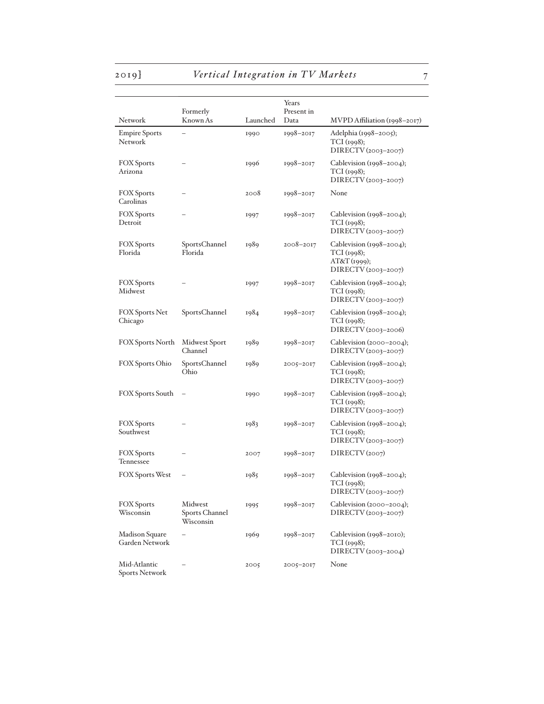# 2019] *Vertical Integration in TV Markets* 7

| Network                               | Formerly<br>Known As                   | Launched | Years<br>Present in<br>Data | $MVPD$ Affiliation (1998–2017)                                                   |
|---------------------------------------|----------------------------------------|----------|-----------------------------|----------------------------------------------------------------------------------|
| <b>Empire Sports</b><br>Network       |                                        | 1990     | $1998 - 2017$               | Adelphia (1998–2005);<br>TCI (1998);<br>DIRECTV (2003-2007)                      |
| <b>FOX</b> Sports<br>Arizona          |                                        | 1996     | $1998 - 2017$               | Cablevision $(1998-2004)$ ;<br>TCI (1998);<br>DIRECTV (2003-2007)                |
| <b>FOX Sports</b><br>Carolinas        |                                        | 2008     | $1998 - 2017$               | None                                                                             |
| <b>FOX Sports</b><br>Detroit          |                                        | 1997     | $1998 - 2017$               | Cablevision (1998–2004);<br>TCI (1998);<br>DIRECTV (2003-2007)                   |
| <b>FOX</b> Sports<br>Florida          | SportsChannel<br>Florida               | 1989     | $2008 - 2017$               | Cablevision $(1998-2004)$ ;<br>TCI (1998);<br>AT&T(1999);<br>DIRECTV (2003-2007) |
| <b>FOX Sports</b><br>Midwest          |                                        | 1997     | $1998 - 2017$               | Cablevision (1998-2004);<br>TCI (1998);<br>DIRECTV (2003-2007)                   |
| <b>FOX Sports Net</b><br>Chicago      | SportsChannel                          | 1984     | $1998 - 2017$               | Cablevision $(1998-2004)$ ;<br>TCI(1998);<br>DIRECTV (2003-2006)                 |
| <b>FOX Sports North</b>               | Midwest Sport<br>Channel               | 1989     | $1998 - 2017$               | Cablevision $(2000-2004)$ ;<br>DIRECTV (2003-2007)                               |
| <b>FOX Sports Ohio</b>                | SportsChannel<br>Ohio                  | 1989     | 2005-2017                   | Cablevision $(1998-2004)$ ;<br>TCI (1998);<br>DIRECTV (2003-2007)                |
| <b>FOX Sports South</b>               |                                        | 1990     | $1998 - 2017$               | Cablevision $(1998-2004)$ ;<br>TCI (1998);<br>DIRECTV (2003-2007)                |
| <b>FOX Sports</b><br>Southwest        |                                        | 1983     | $1998 - 2017$               | Cablevision (1998-2004);<br>TCI (1998);<br>DIRECTV (2003-2007)                   |
| <b>FOX</b> Sports<br>Tennessee        |                                        | 2007     | $1998 - 2017$               | DIRECTV(2007)                                                                    |
| <b>FOX Sports West</b>                |                                        | 1985     | $1998 - 2017$               | Cablevision $(1998-2004)$ ;<br>TCI (1998);<br>DIRECTV (2003-2007)                |
| <b>FOX</b> Sports<br>Wisconsin        | Midwest<br>Sports Channel<br>Wisconsin | 1995     | $1998 - 2017$               | Cablevision (2000–2004);<br>DIRECTV (2003-2007)                                  |
| Madison Square<br>Garden Network      |                                        | 1969     | 1998-2017                   | Cablevision (1998-2010);<br>TCI(1998);<br>DIRECTV (2003-2004)                    |
| Mid-Atlantic<br><b>Sports Network</b> |                                        | 2005     | 2005-2017                   | None                                                                             |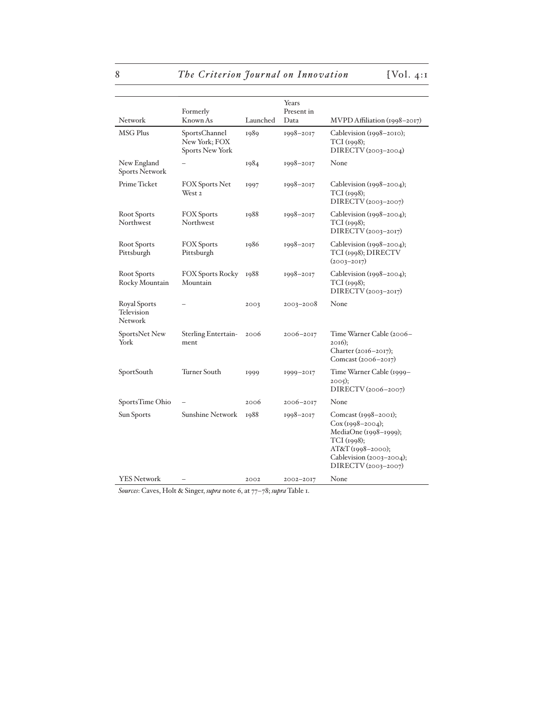8 *The Criterion Journal on Innovation* [Vol. 4:1]

|                                              |                                                          |          | Years      |                                                                                                                                                            |
|----------------------------------------------|----------------------------------------------------------|----------|------------|------------------------------------------------------------------------------------------------------------------------------------------------------------|
|                                              | Formerly                                                 |          | Present in |                                                                                                                                                            |
| Network                                      | Known As                                                 | Launched | Data       | MVPD Affiliation (1998-2017)                                                                                                                               |
| MSG Plus                                     | SportsChannel<br>New York; FOX<br><b>Sports New York</b> | 1989     | 1998-2017  | Cablevision (1998–2010);<br>TCI (1998);<br>DIRECTV (2003-2004)                                                                                             |
| New England<br><b>Sports Network</b>         |                                                          | 1984     | 1998-2017  | None                                                                                                                                                       |
| Prime Ticket                                 | <b>FOX Sports Net</b><br>West <sub>2</sub>               | 1997     | 1998–2017  | Cablevision $(1998-2004)$ ;<br>TCI (1998);<br>DIRECTV (2003-2007)                                                                                          |
| <b>Root Sports</b><br>Northwest              | <b>FOX Sports</b><br>Northwest                           | 1988     | 1998-2017  | Cablevision $(1998-2004)$ ;<br>TCI (1998);<br>DIRECTV (2003-2017)                                                                                          |
| Root Sports<br>Pittsburgh                    | <b>FOX</b> Sports<br>Pittsburgh                          | 1986     | 1998-2017  | Cablevision $(1998-2004)$ ;<br>TCI (1998); DIRECTV<br>$(2003 - 2017)$                                                                                      |
| <b>Root Sports</b><br>Rocky Mountain         | <b>FOX Sports Rocky</b><br>Mountain                      | 1988     | 1998-2017  | Cablevision $(1998-2004)$ ;<br>TCI (1998);<br>DIRECTV (2003–2017)                                                                                          |
| <b>Royal Sports</b><br>Television<br>Network |                                                          | 2003     | 2003-2008  | None                                                                                                                                                       |
| SportsNet New<br>York                        | Sterling Entertain-<br>ment                              | 2006     | 2006–2017  | Time Warner Cable (2006–<br>$2016$ :<br>Charter (2016–2017);<br>Comcast (2006-2017)                                                                        |
| SportSouth                                   | Turner South                                             | 1999     | 1999-2017  | Time Warner Cable (1999–<br>2005);<br>DIRECTV (2006–2007)                                                                                                  |
| SportsTime Ohio                              |                                                          | 2006     | 2006–2017  | None                                                                                                                                                       |
| Sun Sports                                   | <b>Sunshine Network</b>                                  | 1988     | 1998-2017  | Comcast (1998-2001);<br>$Cox(1998-2004);$<br>MediaOne (1998-1999);<br>TCI (1998);<br>$AT&T(1998-2000);$<br>Cablevision (2003-2004);<br>DIRECTV (2003-2007) |
| <b>YES Network</b>                           |                                                          | 2002     | 2002-2017  | None                                                                                                                                                       |

*Sources*: Caves, Holt & Singer, *supra* note 6, at 77–78; *supra* Table 1.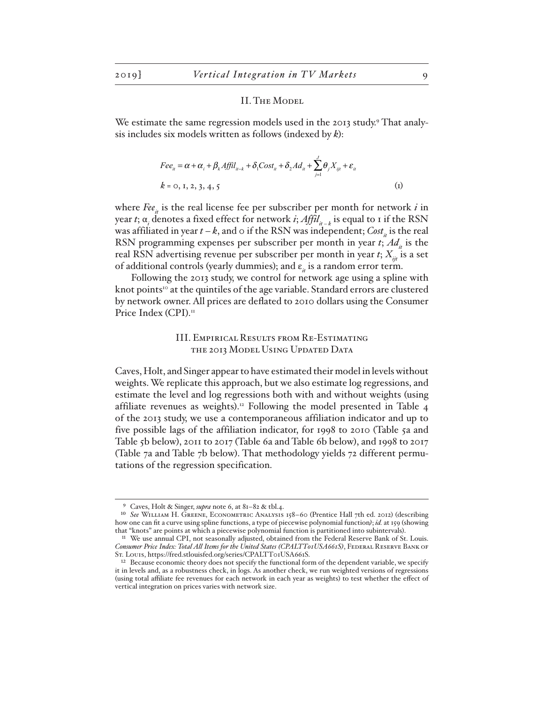#### II. The Model

We estimate the same regression models used in the 2013 study.<sup>9</sup> That analysis includes six models written as follows (indexed by *k*):

$$
Fee_{ii} = \alpha + \alpha_i + \beta_k Affil_{ii-k} + \delta_1 Cost_{ii} + \delta_2 Ad_{ii} + \sum_{j=1}^J \theta_j X_{ijl} + \varepsilon_{ii}
$$
  
\n
$$
k = 0, 1, 2, 3, 4, 5
$$
 (1)

where  $\text{Fe}_{i}$  is the real license fee per subscriber per month for network  $i$  in year *t*;  $\alpha$ , denotes a fixed effect for network *i*;  $Affil_{n-k}$  is equal to 1 if the RSN was affiliated in year  $t - k$ , and  $\circ$  if the RSN was independent; *Cost*<sub>*i*</sub> is the real RSN programming expenses per subscriber per month in year  $t$ ;  $Ad<sub>r</sub>$  is the real RSN advertising revenue per subscriber per month in year  $t$ ;  $X_{ij}$  is a set of additional controls (yearly dummies); and ε<sub>*it*</sub> is a random error term.

Following the 2013 study, we control for network age using a spline with knot points<sup>10</sup> at the quintiles of the age variable. Standard errors are clustered by network owner. All prices are deflated to 2010 dollars using the Consumer Price Index (CPI).<sup>11</sup>

# III. Empirical Results from Re-Estimating the 2013 Model Using Updated Data

Caves, Holt, and Singer appear to have estimated their model in levels without weights. We replicate this approach, but we also estimate log regressions, and estimate the level and log regressions both with and without weights (using affiliate revenues as weights).<sup>12</sup> Following the model presented in Table 4 of the 2013 study, we use a contemporaneous affiliation indicator and up to five possible lags of the affiliation indicator, for 1998 to 2010 (Table 5a and Table 5b below), 2011 to 2017 (Table 6a and Table 6b below), and 1998 to 2017 (Table 7a and Table 7b below). That methodology yields 72 different permutations of the regression specification.

Caves, Holt & Singer, *supra* note 6, at 81-82 & tbl.4.

<sup>10</sup> *See* William H. Greene, Econometric Analysis 158–60 (Prentice Hall 7th ed. 2012) (describing how one can fit a curve using spline functions, a type of piecewise polynomial function*)*; *id.* at 159 (showing that "knots" are points at which a piecewise polynomial function is partitioned into subintervals).

<sup>&</sup>lt;sup>11</sup> We use annual CPI, not seasonally adjusted, obtained from the Federal Reserve Bank of St. Louis. Consumer Price Index: Total All Items for the United States (CPALTTo1USA661S), FEDERAL RESERVE BANK OF St. Louis, https://fred.stlouisfed.org/series/CPALTT01USA661S.

<sup>&</sup>lt;sup>12</sup> Because economic theory does not specify the functional form of the dependent variable, we specify it in levels and, as a robustness check, in logs. As another check, we run weighted versions of regressions (using total affiliate fee revenues for each network in each year as weights) to test whether the effect of vertical integration on prices varies with network size.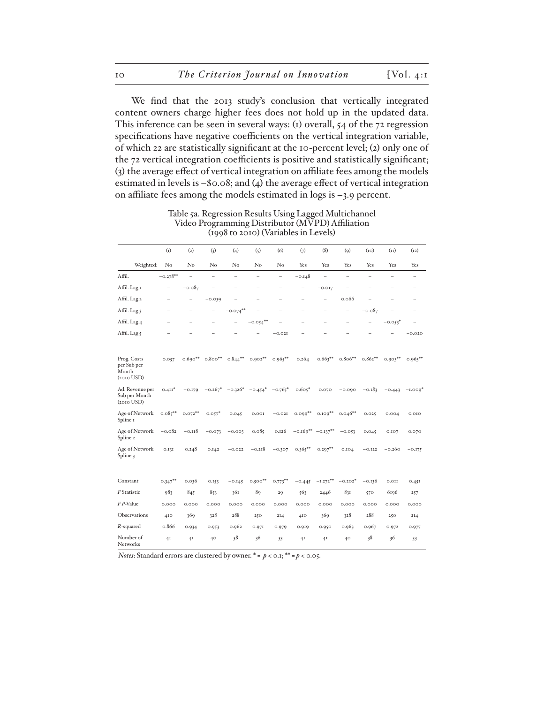We find that the 2013 study's conclusion that vertically integrated content owners charge higher fees does not hold up in the updated data. This inference can be seen in several ways: (1) overall, 54 of the 72 regression specifications have negative coefficients on the vertical integration variable, of which 22 are statistically significant at the 10-percent level; (2) only one of the 72 vertical integration coefficients is positive and statistically significant; (3) the average effect of vertical integration on affiliate fees among the models estimated in levels is –\$0.08; and (4) the average effect of vertical integration on affiliate fees among the models estimated in logs is –3.9 percent.

|                                                     | (I)                      | (2)                      | (3)                      | (4)                      | (5)                      | (6)                      | (7)                      | (8)                      | (9)                      | (10)              | (11)      | (12)                     |
|-----------------------------------------------------|--------------------------|--------------------------|--------------------------|--------------------------|--------------------------|--------------------------|--------------------------|--------------------------|--------------------------|-------------------|-----------|--------------------------|
| Weighted:                                           | No                       | $\rm No$                 | $\rm No$                 | No                       | $\rm No$                 | $\rm No$                 | Yes                      | Yes                      | Yes                      | Yes               | Yes       | Yes                      |
| Affil.                                              | $-0.278**$               | ۳                        | $\equiv$                 | ۳                        | ÷.                       | $\equiv$                 | $-0.148$                 | $\overline{\phantom{m}}$ | ۳                        | $\equiv$          | ÷         | $\equiv$                 |
| Affil. Lag I                                        | $\qquad \qquad -$        | $-0.087$                 |                          |                          |                          |                          |                          | $-0.017$                 |                          |                   |           | $\overline{\phantom{0}}$ |
| Affil. Lag 2                                        | $\overline{\phantom{0}}$ | $\overline{\phantom{0}}$ | $-0.039$                 |                          |                          |                          | ÷                        | $\overline{\phantom{0}}$ | 0.066                    |                   |           | $\equiv$                 |
| Affil. Lag 3                                        | $\overline{\phantom{0}}$ | $\overline{\phantom{0}}$ | $\overline{\phantom{0}}$ | $-0.074***$              | $\overline{\phantom{0}}$ | $\overline{\phantom{0}}$ | $\overline{\phantom{0}}$ | ÷                        | $\overline{\phantom{0}}$ | $-0.087$          |           | $\overline{\phantom{0}}$ |
| Affil. Lag 4                                        | $\overline{\phantom{0}}$ | $\overline{\phantom{0}}$ | $\qquad \qquad -$        | $\overline{\phantom{0}}$ | $-0.054***$              |                          | $\overline{\phantom{0}}$ | $\qquad \qquad -$        | $\overline{\phantom{0}}$ | $\qquad \qquad -$ | $-0.053*$ | $\qquad \qquad -$        |
| Affil. Lag 5                                        |                          |                          |                          |                          |                          | $-0.02I$                 |                          |                          |                          |                   |           | $-0.020$                 |
| Prog. Costs<br>per Sub per<br>Month<br>$(2010$ USD) | 0.057                    | $0.690**$                | $0.800***$               | $0.844***$               | $0.902**$                | $0.965***$               | 0.264                    | $0.663**$                | $0.806**$                | $0.862**$         | $0.903**$ | $0.963**$                |
| Ad. Revenue per<br>Sub per Month<br>$(2010$ USD)    | $0.411*$                 | $-0.179$                 | $-0.267*$                | $-0.326*$                | $-0.454$ <sup>*</sup>    | $-0.765*$                | $0.605*$                 | 0.070                    | $-0.090$                 | $-0.183$          | $-0.443$  | $-1.009*$                |
| Age of Network<br>Spline I                          | $0.085***$               | $0.072***$               | $0.057*$                 | 0.045                    | 0.001                    | $-0.02I$                 | $0.099***$               | $0.109***$               | $0.046**$                | 0.025             | 0.004     | 0.010                    |
| Age of Network<br>Spline 2                          | $-0.082$                 | $-0.118$                 | $-0.073$                 | $-0.003$                 | 0.085                    | 0.126                    | $-0.169**$               | $-0.137***$              | $-0.053$                 | 0.045             | 0.107     | 0.070                    |
| Age of Network<br>Spline 3                          | 0.131                    | 0.248                    | 0.142                    | $-0.022$                 | $-0.218$                 | $-0.307$                 | $0.365***$               | $0.297***$               | 0.104                    | $-0.122$          | $-0.260$  | $-0.175$                 |
|                                                     |                          |                          |                          |                          |                          |                          |                          |                          |                          |                   |           |                          |
| Constant                                            | $0.347**$                | 0.036                    | 0.153                    | $-0.145$                 | $0.500**$                | $0.773***$               | $-0.445$                 | $-1.272**$               | $-0.202*$                | $-0.136$          | 0.01I     | 0.451                    |
| F Statistic                                         | 983                      | 845                      | 853                      | 361                      | 89                       | 29                       | 563                      | 2446                     | 831                      | 570               | 6196      | 257                      |
| F P-Value                                           | 0.000                    | 0.000                    | 0.000                    | 0.000                    | 0.000                    | 0.000                    | 0.000                    | 0.000                    | 0.000                    | 0.000             | 0.000     | 0.000                    |
| Observations                                        | 410                      | 369                      | 328                      | 288                      | 250                      | 214                      | 410                      | 369                      | 328                      | 288               | 250       | 214                      |
| $R$ -squared                                        | 0.866                    | 0.934                    | 0.953                    | 0.962                    | 0.971                    | 0.979                    | 0.919                    | 0.950                    | 0.963                    | 0.967             | 0.972     | 0.977                    |
| Number of<br><b>Networks</b>                        | 4I                       | 4I                       | 40                       | 38                       | 36                       | 33                       | 41                       | 4 <sub>I</sub>           | 40                       | 38                | 36        | 33                       |

Table 5a. Regression Results Using Lagged Multichannel Video Programming Distributor (MVPD) Affiliation (1998 to 2010) (Variables in Levels)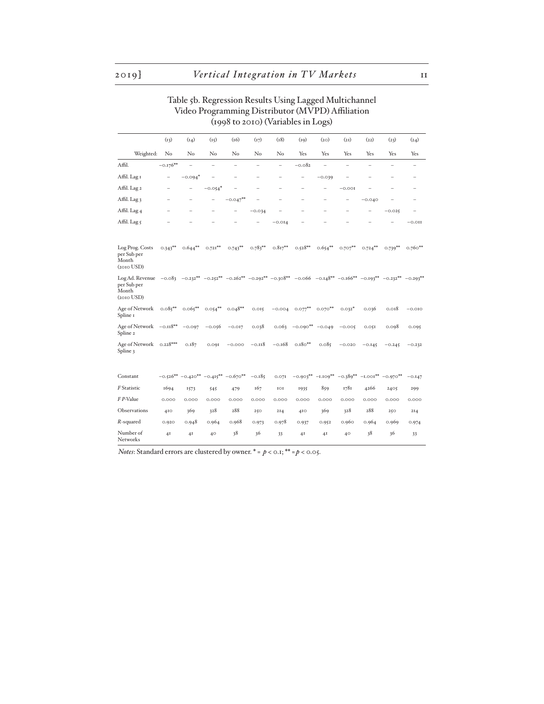# Table 5b. Regression Results Using Lagged Multichannel Video Programming Distributor (MVPD) Affiliation (1998 to 2010) (Variables in Logs)

|                                                            | (13)                     | (14)        | (15)                     | (16)                  | (17)                     | (18)                     | (19)                                                                                                                                                          | (20)       | (21)              | (22)                                      | (23)                     | (24)                     |
|------------------------------------------------------------|--------------------------|-------------|--------------------------|-----------------------|--------------------------|--------------------------|---------------------------------------------------------------------------------------------------------------------------------------------------------------|------------|-------------------|-------------------------------------------|--------------------------|--------------------------|
| Weighted:                                                  | No                       | No          | No                       | No                    | No                       | No                       | Yes                                                                                                                                                           | Yes        | Yes               | Yes                                       | Yes                      | Yes                      |
| Affil.                                                     | $-0.176**$               | $\equiv$    | ÷                        | ÷                     | $\overline{\phantom{0}}$ | $\qquad \qquad -$        | $-0.082$                                                                                                                                                      | $\equiv$   | ÷                 |                                           | $\overline{\phantom{0}}$ | $\qquad \qquad -$        |
| Affil. Lag I                                               | $\overline{\phantom{0}}$ | $-0.094*$   | $\equiv$                 |                       | $\overline{\phantom{0}}$ | $\overline{\phantom{0}}$ | $\qquad \qquad -$                                                                                                                                             | $-0.039$   | $\qquad \qquad -$ |                                           | $\overline{\phantom{0}}$ | $\overline{\phantom{0}}$ |
| Affil. Lag 2                                               |                          | -           | $-0.054*$                |                       | $\overline{\phantom{0}}$ |                          |                                                                                                                                                               | -          | $-0.001$          |                                           |                          | -                        |
| Affil. Lag 3                                               |                          |             | $\overline{\phantom{0}}$ | $-0.047**$            |                          |                          |                                                                                                                                                               |            |                   | $-0.040$                                  |                          |                          |
| Affil. Lag 4                                               |                          |             |                          |                       | $-0.034$                 |                          |                                                                                                                                                               |            |                   |                                           | $-0.025$                 |                          |
| Affil. Lag 5                                               |                          |             |                          |                       |                          | $-0.014$                 |                                                                                                                                                               |            |                   |                                           |                          | $-0.011$                 |
| Log Prog. Costs<br>per Sub per<br>Month<br>$(2010$ USD)    | $0.343***$               | $0.644***$  | $0.721***$               | $0.743***$            | $0.783**$                | $0.817**$                | $0.528**$                                                                                                                                                     | $0.654***$ | $0.707**$         | $0.724***$                                | $0.739**$                | $0.760***$               |
| Log Ad. Revenue<br>per Sub per<br>Month<br>$(2010$ USD $)$ |                          |             |                          |                       |                          |                          | $-0.083$ $-0.232^{**}$ $-0.252^{**}$ $-0.202^{**}$ $-0.292^{**}$ $-0.308^{**}$ $-0.066$ $-0.148^{**}$ $-0.166^{**}$ $-0.193^{**}$ $-0.292^{**}$ $-0.293^{**}$ |            |                   |                                           |                          |                          |
| Age of Network<br>Spline I                                 | $0.085***$               | $0.065***$  | $0.054***$               | $0.048**$             | 0.015                    | $-0.004$                 | $0.077***$                                                                                                                                                    | $0.070***$ | $0.032*$          | 0.036                                     | 0.018                    | $-0.010$                 |
| Age of Network -0.118**<br>Spline <sub>2</sub>             |                          | $-0.097$    | $-0.056$                 | $-0.017$              | 0.038                    | 0.063                    | $-0.090**$                                                                                                                                                    | $-0.049$   | $-0.005$          | 0.05I                                     | 0.098                    | 0.095                    |
| Age of Network<br>Spline 3                                 | $0.228***$               | 0.187       | 0.091                    | $-0.000$              | $-0.118$                 | $-0.168$                 | $0.180***$                                                                                                                                                    | 0.085      | $-0.020$          | $-0.145$                                  | $-0.245$                 | $-0.232$                 |
| Constant                                                   | $-0.526**$               | $-0.420***$ |                          | $-0.415*** -0.670***$ | $-0.185$                 | 0.071                    | $-0.903**$                                                                                                                                                    | $-1.109**$ |                   | $-0.389^{**}$ $-1.001^{**}$ $-0.970^{**}$ |                          | $-0.147$                 |
| F Statistic                                                | 1694                     | 1573        | 545                      | 479                   | 167                      | $_{\rm IOI}$             | 1935                                                                                                                                                          | 859        | 1781              | 4266                                      | 2405                     | 299                      |
| F P-Value                                                  | 0.000                    | 0.000       | 0.000                    | 0.000                 | 0.000                    | 0.000                    | 0.000                                                                                                                                                         | 0.000      | 0.000             | 0.000                                     | 0.000                    | 0.000                    |
| Observations                                               | 410                      | 369         | 328                      | 288                   | 250                      | 214                      | 4I <sub>O</sub>                                                                                                                                               | 369        | 328               | 288                                       | 250                      | 214                      |
| $R$ -squared                                               | 0.920                    | 0.948       | 0.964                    | 0.968                 | 0.973                    | 0.978                    | 0.937                                                                                                                                                         | 0.952      | 0.960             | 0.964                                     | 0.969                    | 0.974                    |
| Number of<br>Networks                                      | 4 <sub>I</sub>           | 41          | 40                       | 38                    | 36                       | 33                       | 4 <sup>I</sup>                                                                                                                                                | 4I         | 40                | 38                                        | 36                       | 33                       |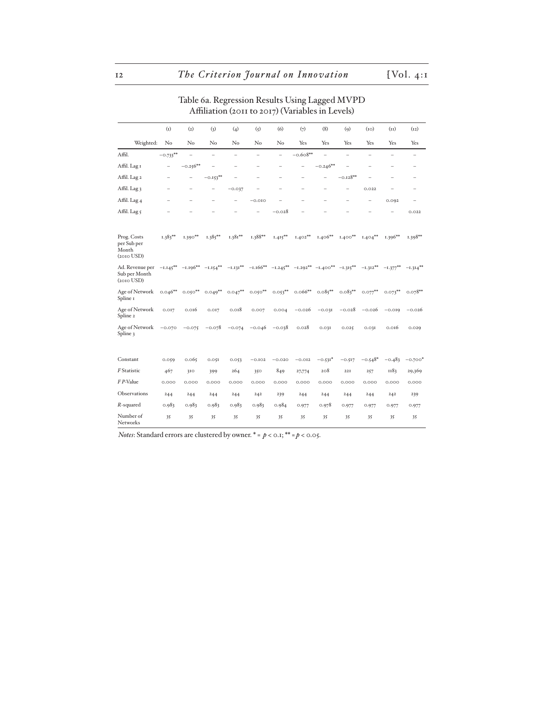# Table 6a. Regression Results Using Lagged MVPD Affiliation (2011 to 2017) (Variables in Levels)

|                                                     | (I)                      | (2)                    | (3)         | (4)                      | (5)                      | (6)                      | (7)                                                       | (8)                      | (9)                      | (10)        | (11)                | (12)                     |
|-----------------------------------------------------|--------------------------|------------------------|-------------|--------------------------|--------------------------|--------------------------|-----------------------------------------------------------|--------------------------|--------------------------|-------------|---------------------|--------------------------|
| Weighted:                                           | $\rm No$                 | No                     | No          | No                       | No                       | $\rm No$                 | Yes                                                       | Yes                      | Yes                      | Yes         | Yes                 | Yes                      |
| Affil.                                              | $-0.733***$              | ۳                      | ÷           | ÷                        | $\equiv$                 | ÷                        | $-0.608**$                                                | ÷                        | $=$                      | $\equiv$    | ÷                   | ۳                        |
| Affil. Lag I                                        | $\overline{\phantom{0}}$ | $-0.256**$             | ÷           | $\overline{\phantom{0}}$ | $\overline{\phantom{0}}$ | $\overline{\phantom{0}}$ | $\overline{\phantom{0}}$                                  | $-0.246**$               | $\overline{\phantom{0}}$ |             | ÷                   | $\overline{\phantom{0}}$ |
| Affil. Lag 2                                        |                          | -                      | $-0.153***$ |                          | -                        |                          |                                                           | $\overline{\phantom{0}}$ | $-0.128**$               |             |                     | $\overline{\phantom{0}}$ |
| Affil. Lag 3                                        | $\overline{\phantom{0}}$ | -                      | -           | $-0.037$                 | -                        | -                        | $\overline{\phantom{0}}$                                  | -                        | -                        | 0.022       |                     | -                        |
| Affil. Lag 4                                        |                          |                        |             |                          | $-0.010$                 |                          |                                                           |                          |                          |             | 0.092               | ۳                        |
| Affil. Lag 5                                        |                          |                        |             |                          |                          | $-0.028$                 |                                                           |                          |                          |             |                     | 0.022                    |
| Prog. Costs<br>per Sub per<br>Month<br>$(2010$ USD) | $1.383**$                | $1.390**$              | $1.385***$  | $1.381**$                | 1.388**                  | $1.415***$               | $1.402**$                                                 | $1.406**$                | $1.400**$                | $1.404**$   | $1.396**$           | $1.398**$                |
| Ad. Revenue per<br>Sub per Month<br>$(2010$ USD)    |                          | $-I.145***$ $-I.196**$ | $-1.154***$ | $-1.131***$              |                          |                          | $-I.166***$ $-I.245***$ $-I.292***$ $-I.400**$ $-I.315**$ |                          |                          | $-1.312***$ | $-{\rm i}.377^{**}$ | $-1.314***$              |
| Age of Network<br>Spline 1                          | $0.046**$                | $0.050***$             | $0.049**$   | $0.047***$               | $0.050***$               | $0.053***$               | $0.066**$                                                 | $0.085***$               | $0.083***$               | $0.077***$  | $0.073***$          | $0.078**$                |
| Age of Network<br>Spline 2                          | 0.017                    | 0.016                  | 0.017       | 0.018                    | 0.007                    | 0.004                    | $-0.026$                                                  | $-0.03I$                 | $-0.028$                 | $-0.026$    | $-0.019$            | $-0.026$                 |
| Age of Network<br>Spline 3                          | $-0.070$                 | $-0.075$               | $-0.078$    | $-0.074$                 | $-0.046$                 | $-0.038$                 | 0.028                                                     | 0.031                    | 0.025                    | 0.03I       | 0.016               | 0.029                    |
| Constant                                            | 0.059                    | 0.065                  | 0.051       | 0.053                    | $-0.102$                 | $-0.020$                 | $-0.012$                                                  | $-0.531*$                | $-0.517$                 | $-0.548*$   | $-0.483$            | $-0.700*$                |
| F Statistic                                         | 467                      | 310                    | 399         | 264                      | 350                      | 849                      | 27,774                                                    | 208                      | 221                      | 257         | 1183                | 29,369                   |
| F P-Value                                           | 0.000                    | 0.000                  | 0.000       | 0.000                    | 0.000                    | 0.000                    | 0.000                                                     | 0.000                    | 0.000                    | 0.000       | 0.000               | 0.000                    |
| Observations                                        | 244                      | 244                    | 244         | 244                      | 242                      | 239                      | 244                                                       | 244                      | 244                      | 244         | 242                 | 239                      |
| $R$ -squared                                        | 0.983                    | 0.983                  | 0.983       | 0.983                    | 0.983                    | 0.984                    | 0.977                                                     | 0.978                    | 0.977                    | 0.977       | 0.977               | 0.977                    |
| Number of<br>Networks                               | 35                       | 35                     | 35          | 35                       | 35                       | 35                       | 35                                                        | 35                       | 35                       | 35          | 35                  | 35                       |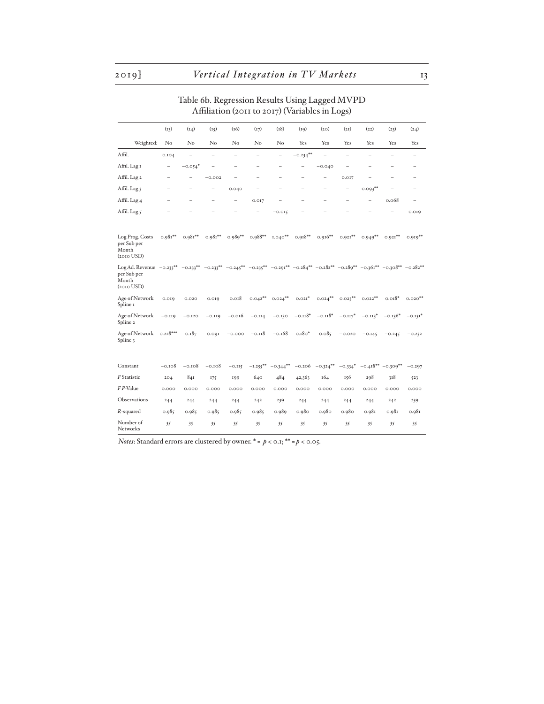# Table 6b. Regression Results Using Lagged MVPD Affiliation (2011 to 2017) (Variables in Logs)

|                                                                                                                                                                                                                                    | (13)                     | (14)                     | (15)      | (16)           | (17)        | (18)                     | (19)        | (20)                     | (2I)              | (22)       | (23)                     | (24)                     |
|------------------------------------------------------------------------------------------------------------------------------------------------------------------------------------------------------------------------------------|--------------------------|--------------------------|-----------|----------------|-------------|--------------------------|-------------|--------------------------|-------------------|------------|--------------------------|--------------------------|
| Weighted:                                                                                                                                                                                                                          | No                       | $\rm No$                 | No        | No             | No          | No                       | Yes         | Yes                      | Yes               | Yes        | Yes                      | Yes                      |
| Affil.                                                                                                                                                                                                                             | 0.104                    | ۳                        | ÷         | $\overline{a}$ | L.          | $\overline{a}$           | $-0.234***$ | L.                       | L.                | L.         | $\overline{\phantom{a}}$ | $\equiv$                 |
| Affil. Lag I                                                                                                                                                                                                                       | $\overline{\phantom{0}}$ | $-0.054*$                |           | ÷              | L,          | $\overline{\phantom{0}}$ | ۰           | $-0.040$                 | -                 |            | $\overline{\phantom{0}}$ | $\overline{\phantom{0}}$ |
| Affil. Lag 2                                                                                                                                                                                                                       | ÷                        |                          | $-0.002$  | -              | L,          | $\equiv$                 |             | $\overline{\phantom{0}}$ | 0.017             |            |                          | $\overline{\phantom{0}}$ |
| Affil. Lag 3                                                                                                                                                                                                                       | ÷                        | $\overline{\phantom{0}}$ | $\equiv$  | 0.040          | ۰           |                          |             | $\overline{\phantom{0}}$ | $\qquad \qquad -$ | $0.093***$ |                          | $\overline{\phantom{0}}$ |
| Affil. Lag 4                                                                                                                                                                                                                       | ÷                        |                          |           | -              | 0.017       |                          |             |                          |                   |            | 0.068                    | $\overline{\phantom{0}}$ |
| Affil. Lag 5                                                                                                                                                                                                                       |                          |                          |           |                |             | $-0.015$                 |             |                          |                   |            |                          | 0.019                    |
| Log Prog. Costs<br>per Sub per<br>Month<br>$(2010$ USD $)$                                                                                                                                                                         | $0.981**$                | $0.981**$                | $0.981**$ | $0.989**$      | $0.988**$   | $1.040**$                | $0.918**$   | $0.916**$                | $0.921**$         | $0.949**$  | $0.921***$               | $0.919**$                |
| Log Ad. Revenue $-0.233^{**}$ $-0.233^{**}$ $-0.233^{**}$ $-0.245^{**}$ $-0.235^{**}$ $-0.291^{**}$ $-0.284^{**}$ $-0.282^{**}$ $-0.289^{**}$ $-0.361^{**}$ $-0.308^{**}$ $-0.282^{**}$<br>per Sub per<br>Month<br>$(2010$ USD $)$ |                          |                          |           |                |             |                          |             |                          |                   |            |                          |                          |
| Age of Network<br>Spline 1                                                                                                                                                                                                         | 0.019                    | 0.020                    | 0.019     | 0.018          | $0.042**$   | $0.024***$               | $0.021*$    | $0.024***$               | $0.023***$        | $0.022***$ | $0.018*$                 | $0.020**$                |
| Age of Network<br>Spline 2                                                                                                                                                                                                         | $-0.119$                 | $-0.120$                 | $-0.119$  | $-0.016$       | $-0.114$    | $-0.130$                 | $-0.118*$   | $-0.118*$                | $-0.117*$         | $-0.113*$  | $-0.136*$                | $-0.131*$                |
| Age of Network<br>Spline 3                                                                                                                                                                                                         | $0.228***$               | 0.187                    | 0.091     | $-0.000$       | $-0.118$    | $-0.168$                 | $0.180*$    | 0.085                    | $-0.020$          | $-0.145$   | $-0.245$                 | $-0.232$                 |
| Constant                                                                                                                                                                                                                           | $-0.108$                 | $-0.108$                 | $-0.108$  | $-0.115$       | $-1.255***$ | $-0.344***$              | $-0.206$    | $-0.324***$              | $-0.334*$         | $-0.418**$ | $-0.309**$               | $-0.297$                 |
| F Statistic                                                                                                                                                                                                                        | 204                      | 84I                      | 175       | 199            | 640         | 484                      | 42,363      | 164                      | 156               | 298        | 318                      | 523                      |
| F P-Value                                                                                                                                                                                                                          | 0.000                    | 0.000                    | 0.000     | 0.000          | 0.000       | 0.000                    | 0.000       | 0.000                    | 0.000             | 0.000      | 0.000                    | 0.000                    |
| Observations                                                                                                                                                                                                                       | 244                      | 244                      | 244       | 244            | 242         | 239                      | 244         | 244                      | 244               | 244        | 242                      | 239                      |
| $R$ -squared                                                                                                                                                                                                                       | 0.985                    | 0.985                    | 0.985     | 0.985          | 0.985       | 0.989                    | 0.980       | 0.980                    | 0.980             | 0.981      | 0.981                    | 0.981                    |
| Number of<br>Networks                                                                                                                                                                                                              | 35                       | 35                       | 35        | 35             | 35          | 35                       | 35          | 35                       | 35                | 35         | 35                       | 35                       |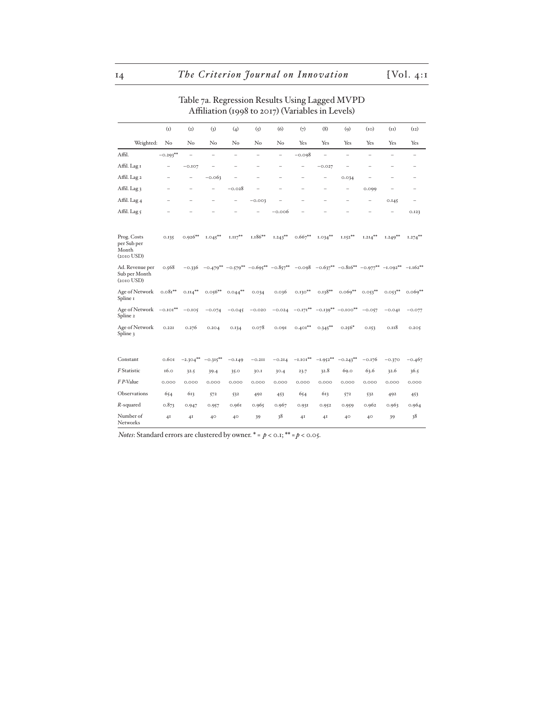# Table 7a. Regression Results Using Lagged MVPD Affiliation (1998 to 2017) (Variables in Levels)

|                                                        | (I)                      | (2)                      | (3)                      | (4)        | (5)                      | (6)                      | (7)                                            | (8)                      | (q)                                                                                                   | (10)                     | (11)                     | (12)                     |
|--------------------------------------------------------|--------------------------|--------------------------|--------------------------|------------|--------------------------|--------------------------|------------------------------------------------|--------------------------|-------------------------------------------------------------------------------------------------------|--------------------------|--------------------------|--------------------------|
| Weighted:                                              | $\rm No$                 | No                       | No                       | No         | $\rm No$                 | $\rm No$                 | Yes                                            | Yes                      | Yes                                                                                                   | Yes                      | Yes                      | Yes                      |
| Affil.                                                 | $-0.293**$               | Ē.                       | ÷                        | ÷          | $\equiv$                 | ÷                        | $-0.098$                                       | ÷                        | ۳                                                                                                     | $\overline{\phantom{0}}$ | $\overline{\phantom{0}}$ | $\overline{\phantom{0}}$ |
| Affil. Lag I                                           | $\overline{\phantom{m}}$ | $-0.107$                 | -                        | ÷          | -                        | $\overline{\phantom{0}}$ | $\qquad \qquad -$                              | $-0.027$                 | $\overline{\phantom{0}}$                                                                              | $\overline{\phantom{0}}$ | $\overline{\phantom{0}}$ | $\overline{\phantom{0}}$ |
| Affil. Lag 2                                           | $\overline{\phantom{0}}$ | $\overline{\phantom{0}}$ | $-0.063$                 |            | $\overline{\phantom{0}}$ |                          | -                                              | -                        | 0.034                                                                                                 |                          | ÷                        | $\qquad \qquad -$        |
| Affil. Lag 3                                           | -                        | $\overline{\phantom{0}}$ | $\overline{\phantom{0}}$ | $-0.028$   |                          |                          | -                                              | $\overline{\phantom{0}}$ | $\qquad \qquad -$                                                                                     | 0.099                    |                          | $\overline{\phantom{0}}$ |
| Affil. Lag 4                                           |                          |                          |                          |            | $-0.003$                 |                          |                                                |                          |                                                                                                       |                          | 0.145                    | $\overline{\phantom{0}}$ |
| Affil. Lag 5                                           |                          |                          |                          |            |                          | $-0.006$                 |                                                |                          |                                                                                                       |                          |                          | 0.123                    |
| Prog. Costs<br>per Sub per<br>Month<br>$(2010$ USD $)$ | 0.135                    | $0.926**$                | $1.045***$               | $1.117***$ | $1.186**$                | $1.243***$               | $0.667***$                                     | $1.034***$               | $1.152***$                                                                                            | $1.214***$               | $1.249**$                | $1.274***$               |
| Ad. Revenue per<br>Sub per Month<br>$(2010$ USD $)$    | 0.568                    | $-0.336$                 |                          |            |                          |                          |                                                |                          | $-0.479***$ $-0.579***$ $-0.695***$ $-0.857***$ $-0.098$ $-0.637***$ $-0.816**$ $-0.977**$ $-1.092**$ |                          |                          | $-1.162**$               |
| Age of Network<br>Spline 1                             | $0.081**$                | $0.114***$               | $0.056***$               | $0.044***$ | 0.034                    | 0.036                    | $0.130***$                                     | $0.138**$                | $0.069**$                                                                                             | $0.053***$               | $0.053***$               | $0.069**$                |
| Age of Network -0.101**<br>Spline 2                    |                          | $-0.105$                 | $-0.074$                 | $-0.045$   | $-0.020$                 | $-0.024$                 | $-0.171***$                                    |                          | $-0.139***$ $-0.100**$                                                                                | $-0.057$                 | $-0.04I$                 | $-0.077$                 |
| Age of Network<br>Spline 3                             | 0.22I                    | 0.276                    | 0.204                    | 0.134      | 0.078                    | 0.091                    | $0.401**$                                      | $0.345***$               | $0.256*$                                                                                              | 0.153                    | 0.118                    | 0.205                    |
| Constant                                               | 0.601                    | $-2.304***$              | $-0.315***$              | $-0.149$   | $-0.2$ II                | $-0.214$                 | $\text{--} \scriptsize{ \texttt{I.IOI} }^{**}$ | $-1.952**$               | $-0.243**$                                                                                            | $-0.176$                 | $-0.370$                 | $-0.467$                 |
| F Statistic                                            | 16.0                     | 32.5                     | 39.4                     | 35.0       | 30.1                     | 30.4                     | 23.7                                           | 32.8                     | 69.0                                                                                                  | 63.6                     | 32.6                     | 36.5                     |
| F P-Value                                              | 0.000                    | 0.000                    | 0.000                    | 0.000      | 0.000                    | 0.000                    | 0.000                                          | 0.000                    | 0.000                                                                                                 | 0.000                    | 0.000                    | 0.000                    |
| Observations                                           | 654                      | 613                      | 572                      | 532        | 492                      | 453                      | 654                                            | 613                      | 572                                                                                                   | 532                      | 492                      | 453                      |
| $R$ -squared                                           | 0.873                    | 0.947                    | 0.957                    | 0.961      | 0.965                    | 0.967                    | 0.931                                          | 0.952                    | 0.959                                                                                                 | 0.962                    | 0.963                    | 0.964                    |
| Number of<br><b>Networks</b>                           | 4 <sup>I</sup>           | 4I                       | 40                       | 40         | 39                       | 38                       | 4 <sup>I</sup>                                 | 4 <sup>I</sup>           | 40                                                                                                    | 40                       | 39                       | 38                       |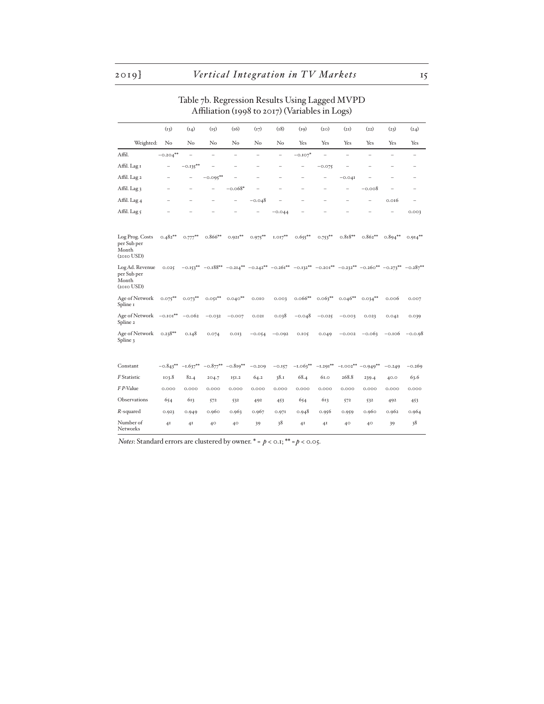# Table 7b. Regression Results Using Lagged MVPD Affiliation (1998 to 2017) (Variables in Logs)

|                                                            | (13)                     | (14)                     | (15)        | (16)       | (17)       | (18)                     | (19)       | (20)       | (2I)      | (22)                                                                                                                                                      | (23)                     | (24)                     |
|------------------------------------------------------------|--------------------------|--------------------------|-------------|------------|------------|--------------------------|------------|------------|-----------|-----------------------------------------------------------------------------------------------------------------------------------------------------------|--------------------------|--------------------------|
| Weighted:                                                  | No                       | $\rm No$                 | No          | No         | No         | No                       | Yes        | Yes        | Yes       | Yes                                                                                                                                                       | Yes                      | Yes                      |
| Affil.                                                     | $-0.204***$              | L.                       | ۳           | L.         | L.         | $\overline{a}$           | $-0.107*$  | ۳          | L.        | L.                                                                                                                                                        | $\overline{\phantom{0}}$ | $\equiv$                 |
| Affil. Lag I                                               | $\overline{\phantom{0}}$ | $-0.135***$              |             | ÷          |            |                          |            | $-0.075$   |           |                                                                                                                                                           |                          | $\overline{\phantom{0}}$ |
| Affil. Lag 2                                               | ÷                        | $\overline{\phantom{0}}$ | $-0.095***$ |            | L          | $\overline{\phantom{0}}$ |            | -          | $-0.041$  |                                                                                                                                                           |                          | $\overline{\phantom{0}}$ |
| Affil. Lag 3                                               | ÷                        |                          | $\equiv$    | $-0.068*$  |            |                          |            | -          | Ē.        | $-0.008$                                                                                                                                                  |                          | $\overline{\phantom{0}}$ |
| Affil. Lag 4                                               |                          |                          |             | -          | $-0.048$   |                          |            |            |           |                                                                                                                                                           | 0.016                    | $\overline{\phantom{0}}$ |
| Affil. Lag 5                                               |                          |                          |             |            |            | $-0.044$                 |            |            |           |                                                                                                                                                           |                          | 0.003                    |
| Log Prog. Costs<br>per Sub per<br>Month<br>$(2010$ USD $)$ | $0.482**$                | $0.777***$               | $0.866**$   | $0.921***$ | $0.975***$ | $1.017***$               | $0.655***$ | $0.753***$ | $0.818**$ | $0.862**$                                                                                                                                                 | $0.894***$               | $0.914***$               |
| Log Ad. Revenue<br>per Sub per<br>Month<br>$(2010$ USD $)$ | 0.025                    |                          |             |            |            |                          |            |            |           | $-0.153^{**}$ $-0.188^{**}$ $-0.214^{**}$ $-0.242^{**}$ $-0.261^{**}$ $-0.132^{**}$ $-0.201^{**}$ $-0.232^{**}$ $-0.260^{**}$ $-0.273^{**}$ $-0.287^{**}$ |                          |                          |
| Age of Network<br>Spline 1                                 | $0.075***$               | $0.073***$               | $0.051**$   | $0.040**$  | 0.010      | 0.003                    | $0.066**$  | $0.063***$ | $0.046**$ | $0.034***$                                                                                                                                                | 0.006                    | 0.007                    |
| Age of Network -0.101**<br>Spline <sub>2</sub>             |                          | $-0.062$                 | $-0.032$    | $-0.007$   | 0.02I      | 0.038                    | $-0.048$   | $-0.025$   | $-0.003$  | 0.023                                                                                                                                                     | 0.042                    | 0.039                    |
| Age of Network<br>Spline 3                                 | $0.238**$                | 0.148                    | 0.074       | 0.013      | $-0.054$   | $-0.092$                 | 0.105      | 0.049      | $-0.002$  | $-0.063$                                                                                                                                                  | $-0.106$                 | $-0.0.98$                |
| Constant                                                   | $-0.843**$               | $-1.637**$               | $-0.877***$ | $-0.819**$ | $-0.209$   | $-0.157$                 | $-1.063**$ | $-1.291**$ |           | $-1.002** -0.949**$                                                                                                                                       | $-0.249$                 | $-0.269$                 |
| F Statistic                                                | 103.8                    | 82.4                     | 204.7       | 151.2      | 64.2       | 38.1                     | 68.4       | 61.0       | 268.8     | 239.4                                                                                                                                                     | 40.0                     | 63.6                     |
| F P-Value                                                  | 0.000                    | 0.000                    | 0.000       | 0.000      | 0.000      | 0.000                    | 0.000      | 0.000      | 0.000     | 0.000                                                                                                                                                     | 0.000                    | 0.000                    |
| Observations                                               | 654                      | 613                      | 572         | 532        | 492        | 453                      | 654        | 613        | 572       | 532                                                                                                                                                       | 492                      | 453                      |
| $R$ -squared                                               | 0.923                    | 0.949                    | 0.960       | 0.963      | 0.967      | 0.971                    | 0.948      | 0.956      | 0.959     | 0.960                                                                                                                                                     | 0.962                    | 0.964                    |
| Number of<br>Networks                                      | 4 <sub>I</sub>           | 4I                       | 40          | 40         | 39         | 38                       | 4I         | 4I         | 40        | 40                                                                                                                                                        | 39                       | 38                       |